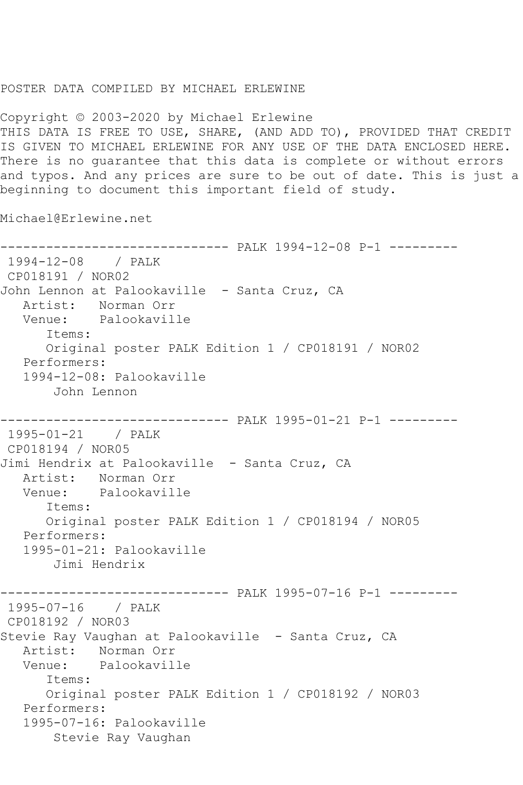## POSTER DATA COMPILED BY MICHAEL ERLEWINE

Copyright © 2003-2020 by Michael Erlewine THIS DATA IS FREE TO USE, SHARE, (AND ADD TO), PROVIDED THAT CREDIT IS GIVEN TO MICHAEL ERLEWINE FOR ANY USE OF THE DATA ENCLOSED HERE. There is no guarantee that this data is complete or without errors and typos. And any prices are sure to be out of date. This is just a beginning to document this important field of study.

Michael@Erlewine.net

------------------------------ PALK 1994-12-08 P-1 --------- 1994-12-08 / PALK CP018191 / NOR02 John Lennon at Palookaville - Santa Cruz, CA Artist: Norman Orr Venue: Palookaville Items: Original poster PALK Edition 1 / CP018191 / NOR02 Performers: 1994-12-08: Palookaville John Lennon ------------------------------ PALK 1995-01-21 P-1 --------- 1995-01-21 / PALK CP018194 / NOR05 Jimi Hendrix at Palookaville - Santa Cruz, CA Artist: Norman Orr Venue: Palookaville Items: Original poster PALK Edition 1 / CP018194 / NOR05 Performers: 1995-01-21: Palookaville Jimi Hendrix ------------------------------ PALK 1995-07-16 P-1 --------- 1995-07-16 / PALK CP018192 / NOR03 Stevie Ray Vaughan at Palookaville - Santa Cruz, CA Artist: Norman Orr Venue: Palookaville Items: Original poster PALK Edition 1 / CP018192 / NOR03 Performers: 1995-07-16: Palookaville Stevie Ray Vaughan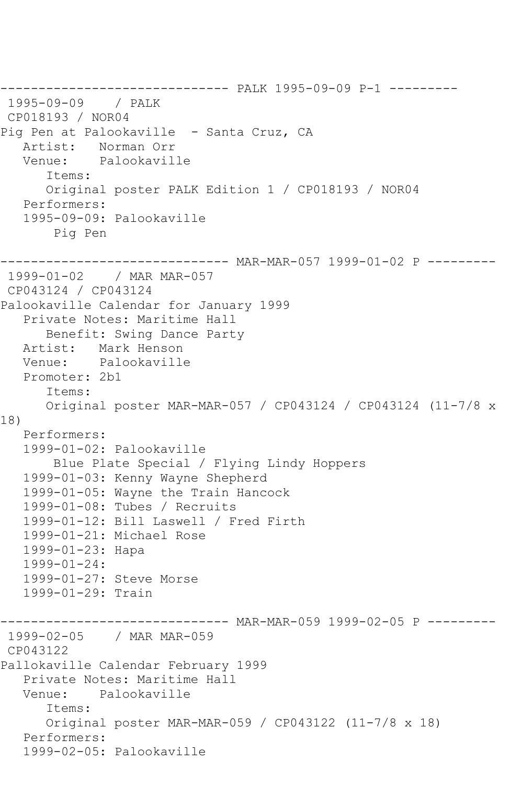------------------------------ PALK 1995-09-09 P-1 --------- 1995-09-09 / PALK CP018193 / NOR04 Pig Pen at Palookaville - Santa Cruz, CA Artist: Norman Orr Venue: Palookaville Items: Original poster PALK Edition 1 / CP018193 / NOR04 Performers: 1995-09-09: Palookaville Pig Pen ------------------------------ MAR-MAR-057 1999-01-02 P --------- 1999-01-02 / MAR MAR-057 CP043124 / CP043124 Palookaville Calendar for January 1999 Private Notes: Maritime Hall Benefit: Swing Dance Party Artist: Mark Henson Venue: Palookaville Promoter: 2b1 Items: Original poster MAR-MAR-057 / CP043124 / CP043124 (11-7/8 x 18) Performers: 1999-01-02: Palookaville Blue Plate Special / Flying Lindy Hoppers 1999-01-03: Kenny Wayne Shepherd 1999-01-05: Wayne the Train Hancock 1999-01-08: Tubes / Recruits 1999-01-12: Bill Laswell / Fred Firth 1999-01-21: Michael Rose 1999-01-23: Hapa 1999-01-24: 1999-01-27: Steve Morse 1999-01-29: Train ------------------------------ MAR-MAR-059 1999-02-05 P --------- 1999-02-05 / MAR MAR-059 CP043122 Pallokaville Calendar February 1999 Private Notes: Maritime Hall Venue: Palookaville Items: Original poster MAR-MAR-059 / CP043122 (11-7/8 x 18) Performers: 1999-02-05: Palookaville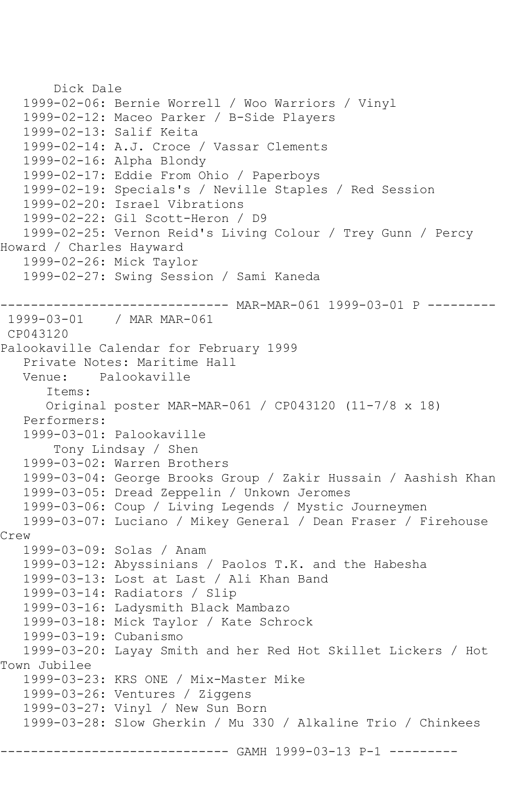```
 Dick Dale
    1999-02-06: Bernie Worrell / Woo Warriors / Vinyl
    1999-02-12: Maceo Parker / B-Side Players
    1999-02-13: Salif Keita
   1999-02-14: A.J. Croce / Vassar Clements
   1999-02-16: Alpha Blondy
   1999-02-17: Eddie From Ohio / Paperboys
    1999-02-19: Specials's / Neville Staples / Red Session
    1999-02-20: Israel Vibrations
    1999-02-22: Gil Scott-Heron / D9
   1999-02-25: Vernon Reid's Living Colour / Trey Gunn / Percy 
Howard / Charles Hayward
    1999-02-26: Mick Taylor
    1999-02-27: Swing Session / Sami Kaneda
    ------------------------------ MAR-MAR-061 1999-03-01 P ---------
1999-03-01 / MAR MAR-061
CP043120
Palookaville Calendar for February 1999
  Private Notes: Maritime Hall<br>Venue: Palookaville
          Palookaville
       Items:
       Original poster MAR-MAR-061 / CP043120 (11-7/8 x 18)
   Performers:
   1999-03-01: Palookaville
        Tony Lindsay / Shen
    1999-03-02: Warren Brothers
    1999-03-04: George Brooks Group / Zakir Hussain / Aashish Khan
    1999-03-05: Dread Zeppelin / Unkown Jeromes
   1999-03-06: Coup / Living Legends / Mystic Journeymen
   1999-03-07: Luciano / Mikey General / Dean Fraser / Firehouse 
Crew
    1999-03-09: Solas / Anam
   1999-03-12: Abyssinians / Paolos T.K. and the Habesha
    1999-03-13: Lost at Last / Ali Khan Band
    1999-03-14: Radiators / Slip
    1999-03-16: Ladysmith Black Mambazo
    1999-03-18: Mick Taylor / Kate Schrock
    1999-03-19: Cubanismo
    1999-03-20: Layay Smith and her Red Hot Skillet Lickers / Hot 
Town Jubilee
    1999-03-23: KRS ONE / Mix-Master Mike
    1999-03-26: Ventures / Ziggens
    1999-03-27: Vinyl / New Sun Born
    1999-03-28: Slow Gherkin / Mu 330 / Alkaline Trio / Chinkees
                        ------- GAMH 1999-03-13 P-1 ---------
```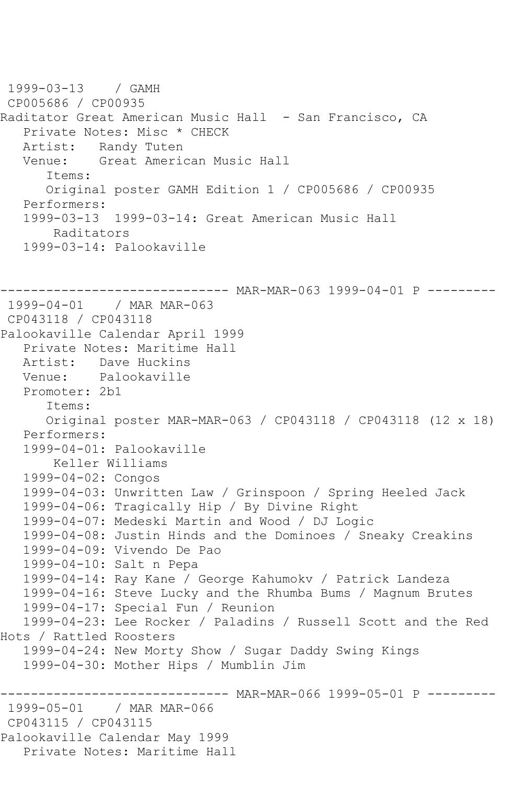```
1999-03-13 / GAMH 
CP005686 / CP00935
Raditator Great American Music Hall - San Francisco, CA
   Private Notes: Misc * CHECK
   Artist: Randy Tuten
   Venue: Great American Music Hall
      Items:
      Original poster GAMH Edition 1 / CP005686 / CP00935
   Performers:
   1999-03-13 1999-03-14: Great American Music Hall
       Raditators
   1999-03-14: Palookaville
------------------------------ MAR-MAR-063 1999-04-01 P ---------
1999-04-01 / MAR MAR-063
CP043118 / CP043118
Palookaville Calendar April 1999
   Private Notes: Maritime Hall
   Artist: Dave Huckins
   Venue: Palookaville
   Promoter: 2b1
      Items:
      Original poster MAR-MAR-063 / CP043118 / CP043118 (12 x 18)
   Performers:
   1999-04-01: Palookaville
       Keller Williams
   1999-04-02: Congos
   1999-04-03: Unwritten Law / Grinspoon / Spring Heeled Jack
   1999-04-06: Tragically Hip / By Divine Right
   1999-04-07: Medeski Martin and Wood / DJ Logic
   1999-04-08: Justin Hinds and the Dominoes / Sneaky Creakins
   1999-04-09: Vivendo De Pao
   1999-04-10: Salt n Pepa
   1999-04-14: Ray Kane / George Kahumokv / Patrick Landeza
   1999-04-16: Steve Lucky and the Rhumba Bums / Magnum Brutes
   1999-04-17: Special Fun / Reunion
   1999-04-23: Lee Rocker / Paladins / Russell Scott and the Red 
Hots / Rattled Roosters
   1999-04-24: New Morty Show / Sugar Daddy Swing Kings
   1999-04-30: Mother Hips / Mumblin Jim
------------------------------ MAR-MAR-066 1999-05-01 P ---------
1999-05-01 / MAR MAR-066
CP043115 / CP043115
Palookaville Calendar May 1999
   Private Notes: Maritime Hall
```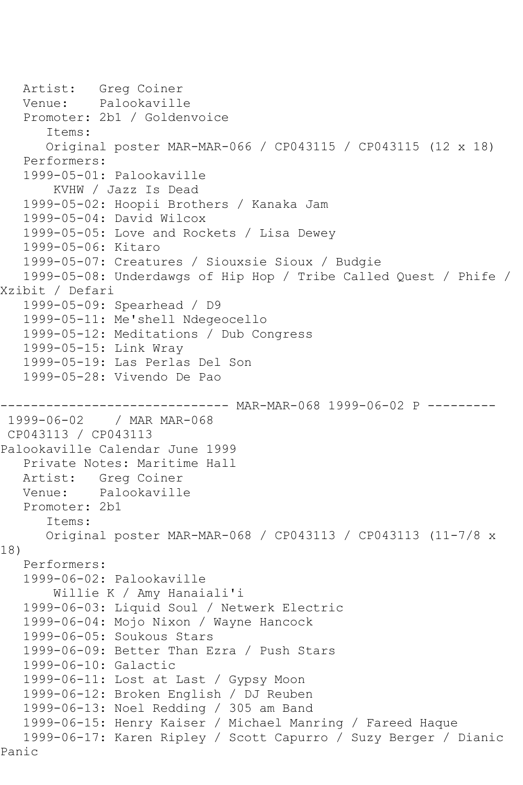```
Artist: Greg Coiner<br>Venue: Palookavill
            Palookaville
    Promoter: 2b1 / Goldenvoice
       Items:
       Original poster MAR-MAR-066 / CP043115 / CP043115 (12 x 18)
    Performers:
    1999-05-01: Palookaville
        KVHW / Jazz Is Dead
    1999-05-02: Hoopii Brothers / Kanaka Jam
    1999-05-04: David Wilcox
   1999-05-05: Love and Rockets / Lisa Dewey
    1999-05-06: Kitaro
   1999-05-07: Creatures / Siouxsie Sioux / Budgie
    1999-05-08: Underdawgs of Hip Hop / Tribe Called Quest / Phife / 
Xzibit / Defari
    1999-05-09: Spearhead / D9
    1999-05-11: Me'shell Ndegeocello
    1999-05-12: Meditations / Dub Congress
   1999-05-15: Link Wray
    1999-05-19: Las Perlas Del Son
    1999-05-28: Vivendo De Pao
                  ------------------------------ MAR-MAR-068 1999-06-02 P ---------
1999-06-02 / MAR MAR-068
CP043113 / CP043113
Palookaville Calendar June 1999
    Private Notes: Maritime Hall
   Artist: Greg Coiner
   Venue: Palookaville
   Promoter: 2b1
       Items:
       Original poster MAR-MAR-068 / CP043113 / CP043113 (11-7/8 x 
18)
   Performers:
    1999-06-02: Palookaville
        Willie K / Amy Hanaiali'i
    1999-06-03: Liquid Soul / Netwerk Electric
    1999-06-04: Mojo Nixon / Wayne Hancock
    1999-06-05: Soukous Stars
    1999-06-09: Better Than Ezra / Push Stars
    1999-06-10: Galactic
   1999-06-11: Lost at Last / Gypsy Moon
   1999-06-12: Broken English / DJ Reuben
    1999-06-13: Noel Redding / 305 am Band
    1999-06-15: Henry Kaiser / Michael Manring / Fareed Haque
   1999-06-17: Karen Ripley / Scott Capurro / Suzy Berger / Dianic 
Panic
```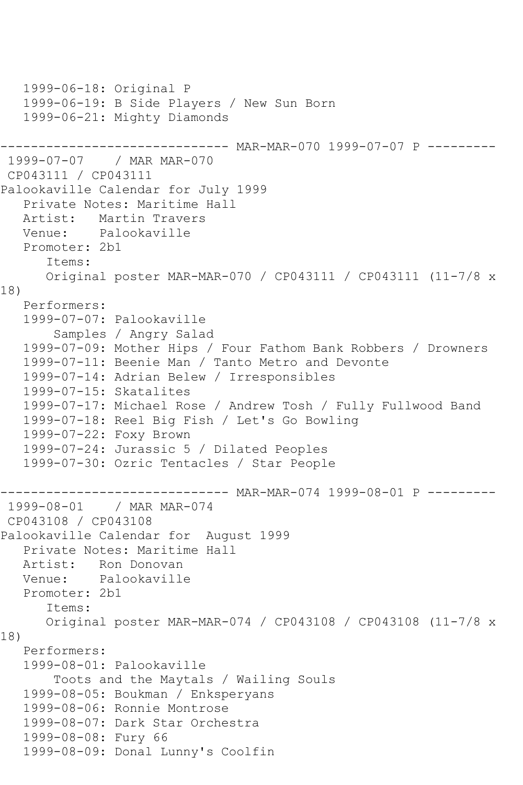```
 1999-06-18: Original P
   1999-06-19: B Side Players / New Sun Born
    1999-06-21: Mighty Diamonds
------------------------------ MAR-MAR-070 1999-07-07 P ---------
1999-07-07 / MAR MAR-070
CP043111 / CP043111
Palookaville Calendar for July 1999
    Private Notes: Maritime Hall
    Artist: Martin Travers
   Venue: Palookaville
    Promoter: 2b1
       Items:
       Original poster MAR-MAR-070 / CP043111 / CP043111 (11-7/8 x 
18)
   Performers:
    1999-07-07: Palookaville
        Samples / Angry Salad
    1999-07-09: Mother Hips / Four Fathom Bank Robbers / Drowners
    1999-07-11: Beenie Man / Tanto Metro and Devonte
    1999-07-14: Adrian Belew / Irresponsibles
    1999-07-15: Skatalites
    1999-07-17: Michael Rose / Andrew Tosh / Fully Fullwood Band
    1999-07-18: Reel Big Fish / Let's Go Bowling
    1999-07-22: Foxy Brown
   1999-07-24: Jurassic 5 / Dilated Peoples
    1999-07-30: Ozric Tentacles / Star People
                        ------------------------------ MAR-MAR-074 1999-08-01 P ---------
1999-08-01 / MAR MAR-074
CP043108 / CP043108
Palookaville Calendar for August 1999
    Private Notes: Maritime Hall
   Artist: Ron Donovan
   Venue: Palookaville
   Promoter: 2b1
       Items:
       Original poster MAR-MAR-074 / CP043108 / CP043108 (11-7/8 x 
18)
   Performers:
    1999-08-01: Palookaville
        Toots and the Maytals / Wailing Souls
    1999-08-05: Boukman / Enksperyans
    1999-08-06: Ronnie Montrose
    1999-08-07: Dark Star Orchestra
    1999-08-08: Fury 66
   1999-08-09: Donal Lunny's Coolfin
```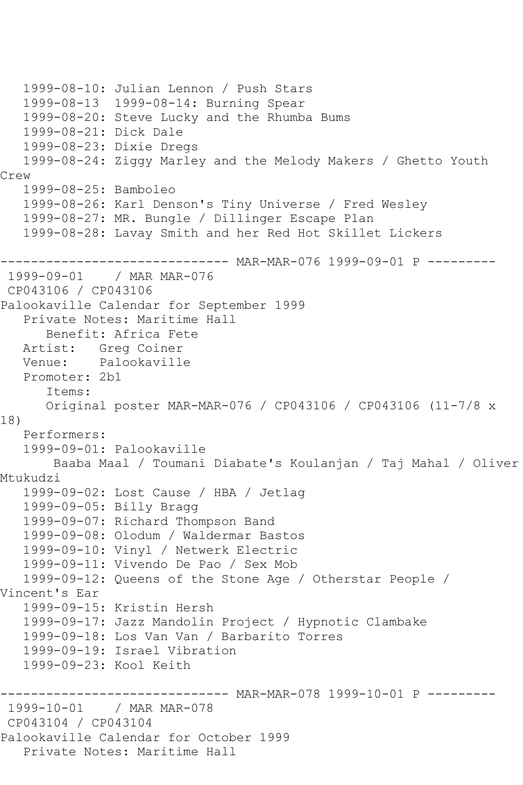```
 1999-08-10: Julian Lennon / Push Stars
   1999-08-13 1999-08-14: Burning Spear
   1999-08-20: Steve Lucky and the Rhumba Bums
   1999-08-21: Dick Dale
   1999-08-23: Dixie Dregs
   1999-08-24: Ziggy Marley and the Melody Makers / Ghetto Youth 
Crew
   1999-08-25: Bamboleo
   1999-08-26: Karl Denson's Tiny Universe / Fred Wesley
   1999-08-27: MR. Bungle / Dillinger Escape Plan
   1999-08-28: Lavay Smith and her Red Hot Skillet Lickers
------------------------------ MAR-MAR-076 1999-09-01 P ---------
1999-09-01 / MAR MAR-076
CP043106 / CP043106
Palookaville Calendar for September 1999
   Private Notes: Maritime Hall
      Benefit: Africa Fete
   Artist: Greg Coiner
   Venue: Palookaville
   Promoter: 2b1
       Items:
      Original poster MAR-MAR-076 / CP043106 / CP043106 (11-7/8 x 
18)
   Performers:
   1999-09-01: Palookaville
       Baaba Maal / Toumani Diabate's Koulanjan / Taj Mahal / Oliver 
Mtukudzi
   1999-09-02: Lost Cause / HBA / Jetlag
   1999-09-05: Billy Bragg
   1999-09-07: Richard Thompson Band
   1999-09-08: Olodum / Waldermar Bastos
   1999-09-10: Vinyl / Netwerk Electric
   1999-09-11: Vivendo De Pao / Sex Mob
   1999-09-12: Queens of the Stone Age / Otherstar People / 
Vincent's Ear
   1999-09-15: Kristin Hersh
   1999-09-17: Jazz Mandolin Project / Hypnotic Clambake
   1999-09-18: Los Van Van / Barbarito Torres
   1999-09-19: Israel Vibration
   1999-09-23: Kool Keith
                  ----------- MAR-MAR-078 1999-10-01 P ---------
1999-10-01 / MAR MAR-078
CP043104 / CP043104
Palookaville Calendar for October 1999
   Private Notes: Maritime Hall
```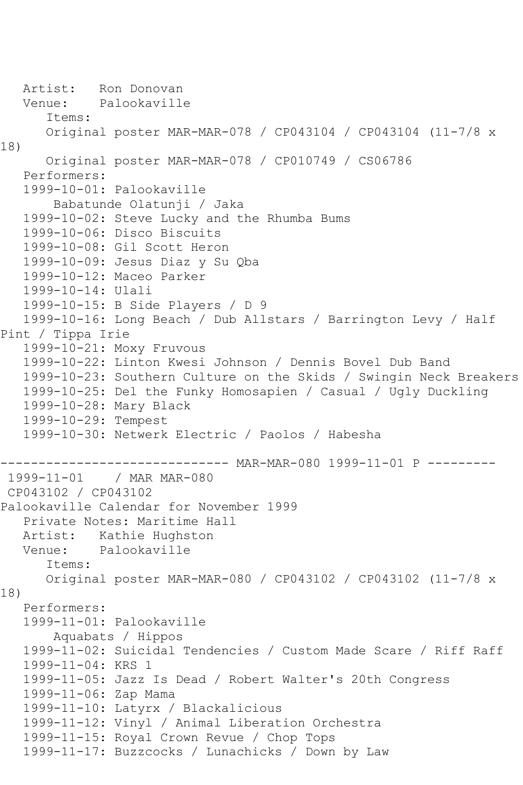Artist: Ron Donovan Venue: Palookaville Items: Original poster MAR-MAR-078 / CP043104 / CP043104 (11-7/8 x 18) Original poster MAR-MAR-078 / CP010749 / CS06786 Performers: 1999-10-01: Palookaville Babatunde Olatunji / Jaka 1999-10-02: Steve Lucky and the Rhumba Bums 1999-10-06: Disco Biscuits 1999-10-08: Gil Scott Heron 1999-10-09: Jesus Diaz y Su Qba 1999-10-12: Maceo Parker 1999-10-14: Ulali 1999-10-15: B Side Players / D 9 1999-10-16: Long Beach / Dub Allstars / Barrington Levy / Half Pint / Tippa Irie 1999-10-21: Moxy Fruvous 1999-10-22: Linton Kwesi Johnson / Dennis Bovel Dub Band 1999-10-23: Southern Culture on the Skids / Swingin Neck Breakers 1999-10-25: Del the Funky Homosapien / Casual / Ugly Duckling 1999-10-28: Mary Black 1999-10-29: Tempest 1999-10-30: Netwerk Electric / Paolos / Habesha ------------------------------ MAR-MAR-080 1999-11-01 P --------- 1999-11-01 / MAR MAR-080 CP043102 / CP043102 Palookaville Calendar for November 1999 Private Notes: Maritime Hall Artist: Kathie Hughston<br>Venue: Palookaville Palookaville Items: Original poster MAR-MAR-080 / CP043102 / CP043102 (11-7/8 x 18) Performers: 1999-11-01: Palookaville Aquabats / Hippos 1999-11-02: Suicidal Tendencies / Custom Made Scare / Riff Raff 1999-11-04: KRS 1 1999-11-05: Jazz Is Dead / Robert Walter's 20th Congress 1999-11-06: Zap Mama 1999-11-10: Latyrx / Blackalicious 1999-11-12: Vinyl / Animal Liberation Orchestra 1999-11-15: Royal Crown Revue / Chop Tops 1999-11-17: Buzzcocks / Lunachicks / Down by Law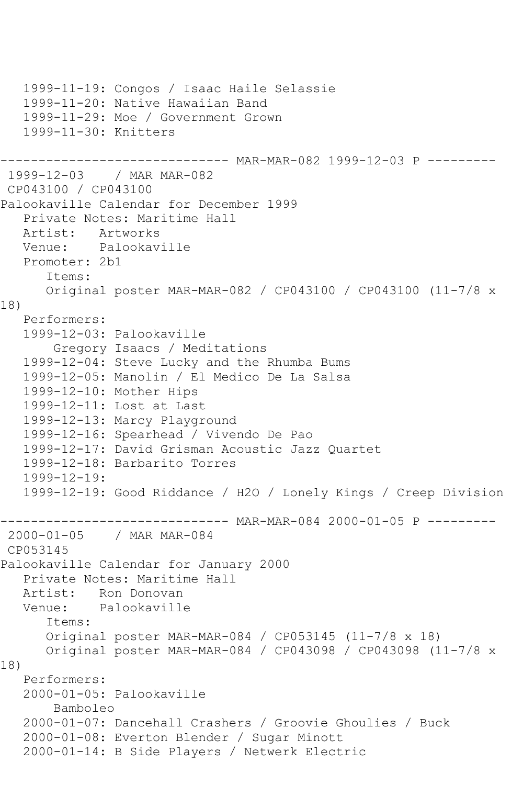```
 1999-11-19: Congos / Isaac Haile Selassie
    1999-11-20: Native Hawaiian Band
   1999-11-29: Moe / Government Grown
    1999-11-30: Knitters
                    ------------------------------ MAR-MAR-082 1999-12-03 P ---------
1999-12-03 / MAR MAR-082
CP043100 / CP043100
Palookaville Calendar for December 1999
   Private Notes: Maritime Hall
  Artist: Artworks<br>Venue: Palookav
            Palookaville
    Promoter: 2b1
       Items:
       Original poster MAR-MAR-082 / CP043100 / CP043100 (11-7/8 x 
18)
    Performers:
    1999-12-03: Palookaville
        Gregory Isaacs / Meditations
    1999-12-04: Steve Lucky and the Rhumba Bums
    1999-12-05: Manolin / El Medico De La Salsa
    1999-12-10: Mother Hips
    1999-12-11: Lost at Last
    1999-12-13: Marcy Playground
   1999-12-16: Spearhead / Vivendo De Pao
    1999-12-17: David Grisman Acoustic Jazz Quartet
    1999-12-18: Barbarito Torres
    1999-12-19:
    1999-12-19: Good Riddance / H2O / Lonely Kings / Creep Division
------------------------------ MAR-MAR-084 2000-01-05 P ---------<br>2000-01-05 / MAR MAR-084
               / MAR MAR-084
CP053145
Palookaville Calendar for January 2000
    Private Notes: Maritime Hall
   Artist: Ron Donovan
   Venue: Palookaville
       Items:
       Original poster MAR-MAR-084 / CP053145 (11-7/8 x 18)
       Original poster MAR-MAR-084 / CP043098 / CP043098 (11-7/8 x 
18)
   Performers:
    2000-01-05: Palookaville
        Bamboleo
    2000-01-07: Dancehall Crashers / Groovie Ghoulies / Buck
    2000-01-08: Everton Blender / Sugar Minott
    2000-01-14: B Side Players / Netwerk Electric
```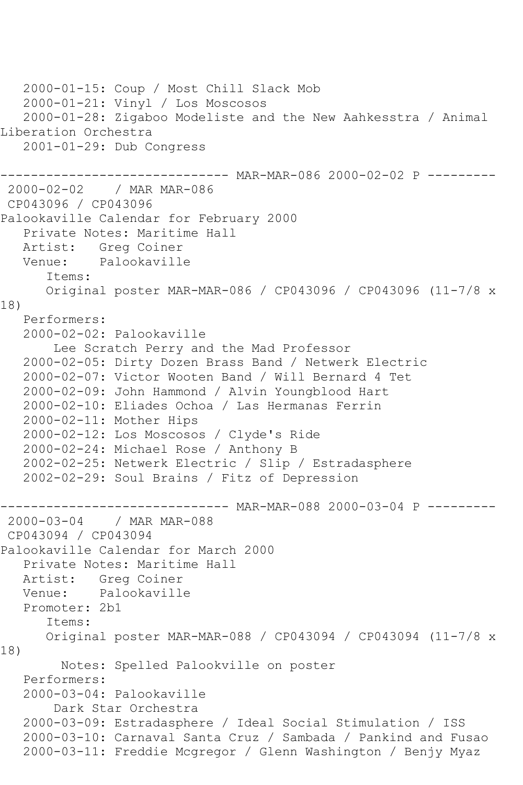```
 2000-01-15: Coup / Most Chill Slack Mob
   2000-01-21: Vinyl / Los Moscosos
   2000-01-28: Zigaboo Modeliste and the New Aahkesstra / Animal 
Liberation Orchestra
   2001-01-29: Dub Congress
------------------------------ MAR-MAR-086 2000-02-02 P ---------
2000-02-02 / MAR MAR-086
CP043096 / CP043096
Palookaville Calendar for February 2000
   Private Notes: Maritime Hall
   Artist: Greg Coiner
   Venue: Palookaville
       Items:
      Original poster MAR-MAR-086 / CP043096 / CP043096 (11-7/8 x 
18)
   Performers:
   2000-02-02: Palookaville
        Lee Scratch Perry and the Mad Professor
   2000-02-05: Dirty Dozen Brass Band / Netwerk Electric
   2000-02-07: Victor Wooten Band / Will Bernard 4 Tet
   2000-02-09: John Hammond / Alvin Youngblood Hart
   2000-02-10: Eliades Ochoa / Las Hermanas Ferrin
   2000-02-11: Mother Hips
   2000-02-12: Los Moscosos / Clyde's Ride
   2000-02-24: Michael Rose / Anthony B
   2002-02-25: Netwerk Electric / Slip / Estradasphere
   2002-02-29: Soul Brains / Fitz of Depression
------------------------------ MAR-MAR-088 2000-03-04 P ---------
2000-03-04 / MAR MAR-088
CP043094 / CP043094
Palookaville Calendar for March 2000
   Private Notes: Maritime Hall
   Artist: Greg Coiner
   Venue: Palookaville
   Promoter: 2b1
       Items:
      Original poster MAR-MAR-088 / CP043094 / CP043094 (11-7/8 x 
18)
         Notes: Spelled Palookville on poster
   Performers:
   2000-03-04: Palookaville
        Dark Star Orchestra
   2000-03-09: Estradasphere / Ideal Social Stimulation / ISS
   2000-03-10: Carnaval Santa Cruz / Sambada / Pankind and Fusao
   2000-03-11: Freddie Mcgregor / Glenn Washington / Benjy Myaz
```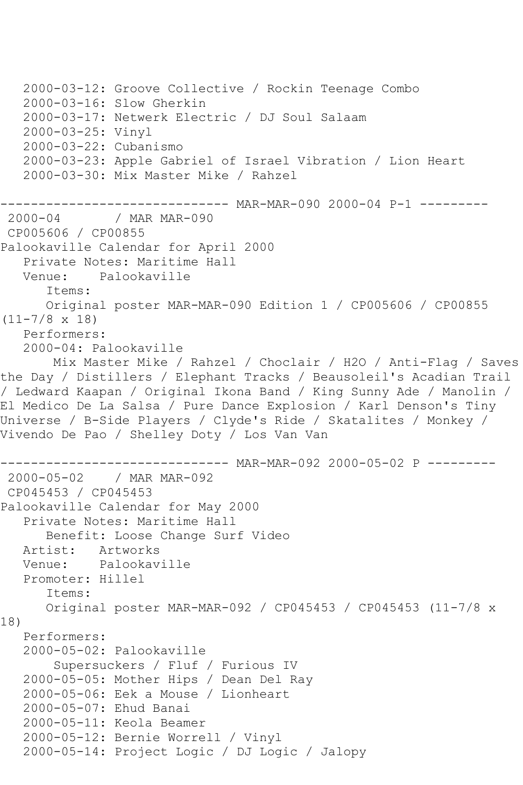```
 2000-03-12: Groove Collective / Rockin Teenage Combo
    2000-03-16: Slow Gherkin
   2000-03-17: Netwerk Electric / DJ Soul Salaam
    2000-03-25: Vinyl
    2000-03-22: Cubanismo
    2000-03-23: Apple Gabriel of Israel Vibration / Lion Heart
   2000-03-30: Mix Master Mike / Rahzel
----------------------------- MAR-MAR-090 2000-04 P-1 ---------<br>2000-04 / MAR MAR-090
              / MAR MAR-090
CP005606 / CP00855
Palookaville Calendar for April 2000
    Private Notes: Maritime Hall
   Venue: Palookaville
       Items:
       Original poster MAR-MAR-090 Edition 1 / CP005606 / CP00855 
(11-7/8 x 18)
   Performers:
    2000-04: Palookaville
        Mix Master Mike / Rahzel / Choclair / H2O / Anti-Flag / Saves 
the Day / Distillers / Elephant Tracks / Beausoleil's Acadian Trail 
/ Ledward Kaapan / Original Ikona Band / King Sunny Ade / Manolin / 
El Medico De La Salsa / Pure Dance Explosion / Karl Denson's Tiny 
Universe / B-Side Players / Clyde's Ride / Skatalites / Monkey / 
Vivendo De Pao / Shelley Doty / Los Van Van
------------------------------ MAR-MAR-092 2000-05-02 P ---------
2000-05-02 / MAR MAR-092
CP045453 / CP045453
Palookaville Calendar for May 2000
    Private Notes: Maritime Hall
       Benefit: Loose Change Surf Video
  Artist: Artworks<br>Venue: Palookav
            Palookaville
   Promoter: Hillel
       Items:
       Original poster MAR-MAR-092 / CP045453 / CP045453 (11-7/8 x 
18)
   Performers:
    2000-05-02: Palookaville
        Supersuckers / Fluf / Furious IV
    2000-05-05: Mother Hips / Dean Del Ray
    2000-05-06: Eek a Mouse / Lionheart
    2000-05-07: Ehud Banai
    2000-05-11: Keola Beamer
    2000-05-12: Bernie Worrell / Vinyl
    2000-05-14: Project Logic / DJ Logic / Jalopy
```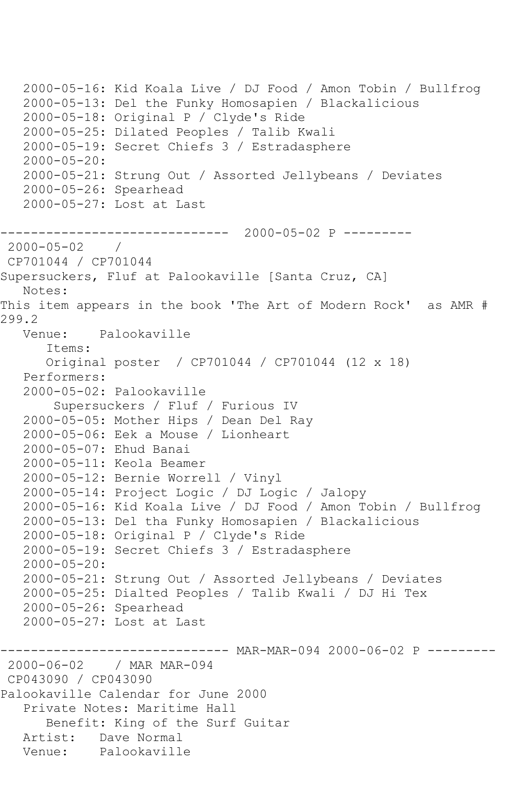2000-05-16: Kid Koala Live / DJ Food / Amon Tobin / Bullfrog 2000-05-13: Del the Funky Homosapien / Blackalicious 2000-05-18: Original P / Clyde's Ride 2000-05-25: Dilated Peoples / Talib Kwali 2000-05-19: Secret Chiefs 3 / Estradasphere 2000-05-20: 2000-05-21: Strung Out / Assorted Jellybeans / Deviates 2000-05-26: Spearhead 2000-05-27: Lost at Last ------------------------------ 2000-05-02 P --------- 2000-05-02 / CP701044 / CP701044 Supersuckers, Fluf at Palookaville [Santa Cruz, CA] Notes: This item appears in the book 'The Art of Modern Rock' as AMR # 299.2 Venue: Palookaville Items: Original poster / CP701044 / CP701044 (12 x 18) Performers: 2000-05-02: Palookaville Supersuckers / Fluf / Furious IV 2000-05-05: Mother Hips / Dean Del Ray 2000-05-06: Eek a Mouse / Lionheart 2000-05-07: Ehud Banai 2000-05-11: Keola Beamer 2000-05-12: Bernie Worrell / Vinyl 2000-05-14: Project Logic / DJ Logic / Jalopy 2000-05-16: Kid Koala Live / DJ Food / Amon Tobin / Bullfrog 2000-05-13: Del tha Funky Homosapien / Blackalicious 2000-05-18: Original P / Clyde's Ride 2000-05-19: Secret Chiefs 3 / Estradasphere 2000-05-20: 2000-05-21: Strung Out / Assorted Jellybeans / Deviates 2000-05-25: Dialted Peoples / Talib Kwali / DJ Hi Tex 2000-05-26: Spearhead 2000-05-27: Lost at Last ------------------------------ MAR-MAR-094 2000-06-02 P --------- 2000-06-02 / MAR MAR-094 CP043090 / CP043090 Palookaville Calendar for June 2000 Private Notes: Maritime Hall Benefit: King of the Surf Guitar Artist: Dave Normal<br>Venue: Palookavill Palookaville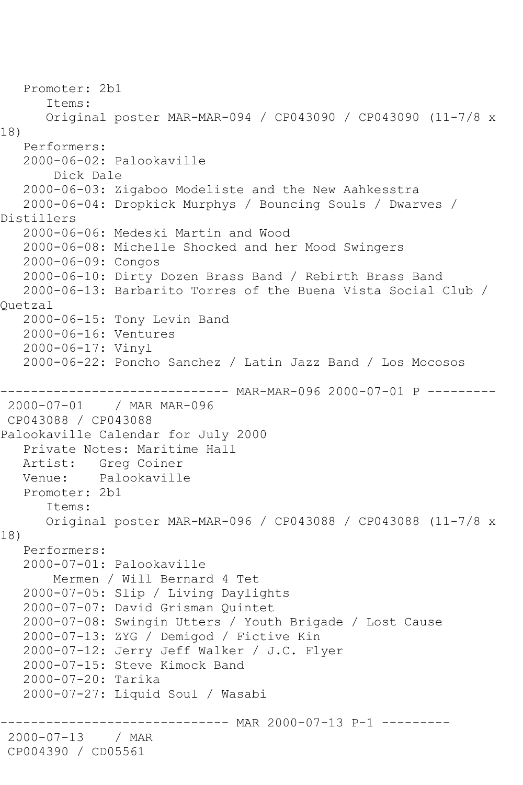Promoter: 2b1 Items: Original poster MAR-MAR-094 / CP043090 / CP043090 (11-7/8 x 18) Performers: 2000-06-02: Palookaville Dick Dale 2000-06-03: Zigaboo Modeliste and the New Aahkesstra 2000-06-04: Dropkick Murphys / Bouncing Souls / Dwarves / Distillers 2000-06-06: Medeski Martin and Wood 2000-06-08: Michelle Shocked and her Mood Swingers 2000-06-09: Congos 2000-06-10: Dirty Dozen Brass Band / Rebirth Brass Band 2000-06-13: Barbarito Torres of the Buena Vista Social Club / Quetzal 2000-06-15: Tony Levin Band 2000-06-16: Ventures 2000-06-17: Vinyl 2000-06-22: Poncho Sanchez / Latin Jazz Band / Los Mocosos ------------ MAR-MAR-096 2000-07-01 P ---------2000-07-01 / MAR MAR-096 CP043088 / CP043088 Palookaville Calendar for July 2000 Private Notes: Maritime Hall Artist: Greg Coiner Venue: Palookaville Promoter: 2b1 Items: Original poster MAR-MAR-096 / CP043088 / CP043088 (11-7/8 x 18) Performers: 2000-07-01: Palookaville Mermen / Will Bernard 4 Tet 2000-07-05: Slip / Living Daylights 2000-07-07: David Grisman Quintet 2000-07-08: Swingin Utters / Youth Brigade / Lost Cause 2000-07-13: ZYG / Demigod / Fictive Kin 2000-07-12: Jerry Jeff Walker / J.C. Flyer 2000-07-15: Steve Kimock Band 2000-07-20: Tarika 2000-07-27: Liquid Soul / Wasabi ------ MAR 2000-07-13 P-1 ---------2000-07-13 / MAR CP004390 / CD05561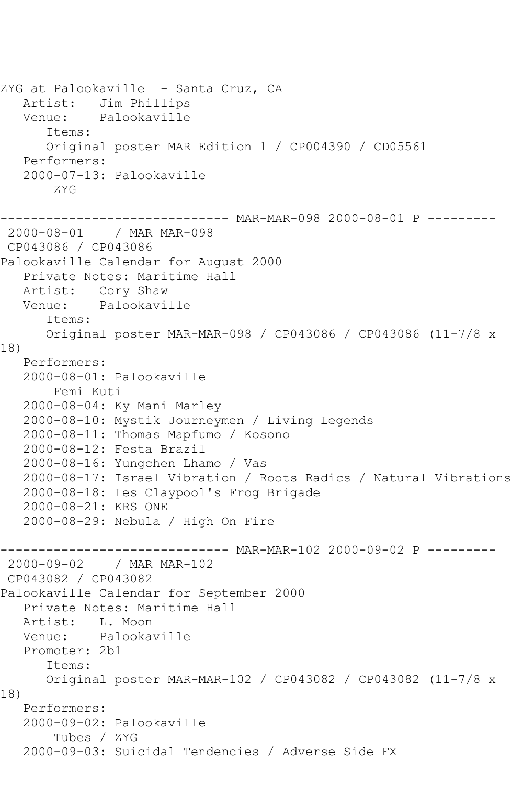```
ZYG at Palookaville - Santa Cruz, CA
   Artist: Jim Phillips
   Venue: Palookaville
       Items:
      Original poster MAR Edition 1 / CP004390 / CD05561
   Performers:
   2000-07-13: Palookaville
        ZYG
------------------------------ MAR-MAR-098 2000-08-01 P ---------
2000-08-01 / MAR MAR-098
CP043086 / CP043086
Palookaville Calendar for August 2000
   Private Notes: Maritime Hall
   Artist: Cory Shaw
   Venue: Palookaville
       Items:
      Original poster MAR-MAR-098 / CP043086 / CP043086 (11-7/8 x 
18)
   Performers:
   2000-08-01: Palookaville
        Femi Kuti
   2000-08-04: Ky Mani Marley
   2000-08-10: Mystik Journeymen / Living Legends
   2000-08-11: Thomas Mapfumo / Kosono
   2000-08-12: Festa Brazil
   2000-08-16: Yungchen Lhamo / Vas
   2000-08-17: Israel Vibration / Roots Radics / Natural Vibrations
   2000-08-18: Les Claypool's Frog Brigade
   2000-08-21: KRS ONE
   2000-08-29: Nebula / High On Fire
------------------------------ MAR-MAR-102 2000-09-02 P ---------
              / MAR MAR-102
CP043082 / CP043082
Palookaville Calendar for September 2000
   Private Notes: Maritime Hall
   Artist: L. Moon
   Venue: Palookaville
   Promoter: 2b1
       Items:
      Original poster MAR-MAR-102 / CP043082 / CP043082 (11-7/8 x 
18)
   Performers:
   2000-09-02: Palookaville
        Tubes / ZYG
   2000-09-03: Suicidal Tendencies / Adverse Side FX
```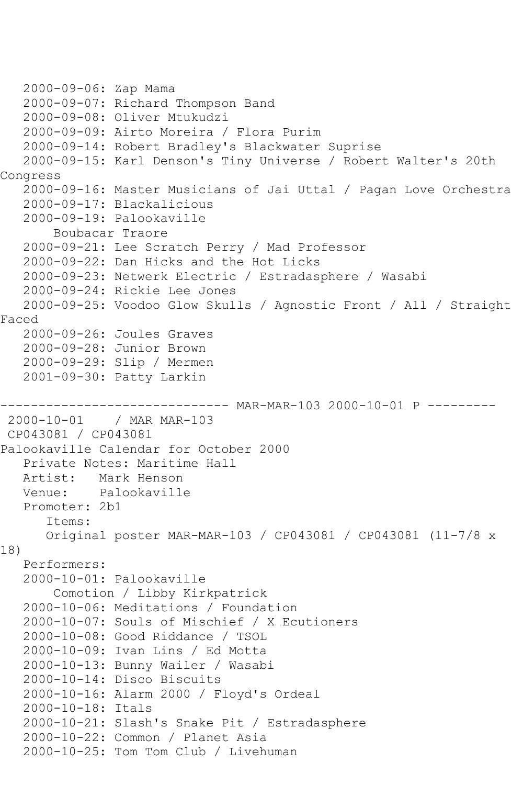```
 2000-09-06: Zap Mama
   2000-09-07: Richard Thompson Band
   2000-09-08: Oliver Mtukudzi
   2000-09-09: Airto Moreira / Flora Purim
   2000-09-14: Robert Bradley's Blackwater Suprise
   2000-09-15: Karl Denson's Tiny Universe / Robert Walter's 20th 
Congress
   2000-09-16: Master Musicians of Jai Uttal / Pagan Love Orchestra
   2000-09-17: Blackalicious
   2000-09-19: Palookaville
        Boubacar Traore
   2000-09-21: Lee Scratch Perry / Mad Professor
   2000-09-22: Dan Hicks and the Hot Licks
   2000-09-23: Netwerk Electric / Estradasphere / Wasabi
   2000-09-24: Rickie Lee Jones
   2000-09-25: Voodoo Glow Skulls / Agnostic Front / All / Straight 
Faced
   2000-09-26: Joules Graves
   2000-09-28: Junior Brown
   2000-09-29: Slip / Mermen
   2001-09-30: Patty Larkin
------------------------------ MAR-MAR-103 2000-10-01 P ---------
2000-10-01 / MAR MAR-103
CP043081 / CP043081
Palookaville Calendar for October 2000
   Private Notes: Maritime Hall
   Artist: Mark Henson
   Venue: Palookaville
   Promoter: 2b1
       Items:
       Original poster MAR-MAR-103 / CP043081 / CP043081 (11-7/8 x 
18)
   Performers:
   2000-10-01: Palookaville
        Comotion / Libby Kirkpatrick
   2000-10-06: Meditations / Foundation
   2000-10-07: Souls of Mischief / X Ecutioners
   2000-10-08: Good Riddance / TSOL
   2000-10-09: Ivan Lins / Ed Motta
   2000-10-13: Bunny Wailer / Wasabi
   2000-10-14: Disco Biscuits
   2000-10-16: Alarm 2000 / Floyd's Ordeal
   2000-10-18: Itals
   2000-10-21: Slash's Snake Pit / Estradasphere
   2000-10-22: Common / Planet Asia
   2000-10-25: Tom Tom Club / Livehuman
```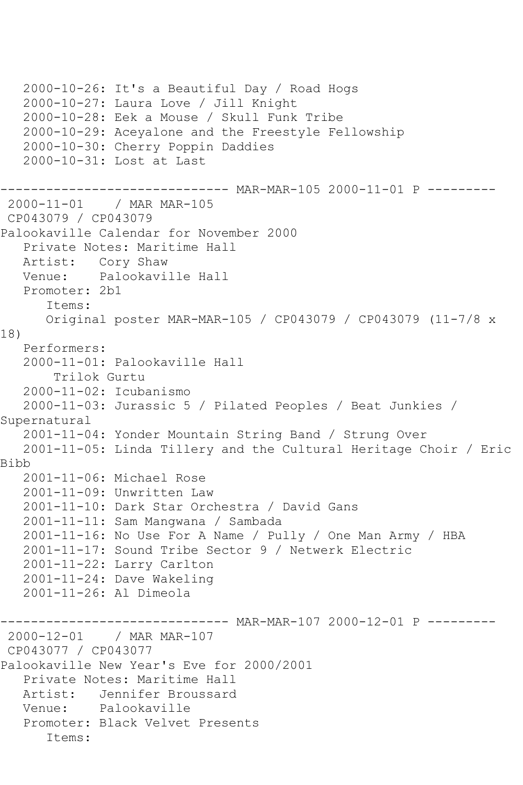```
 2000-10-26: It's a Beautiful Day / Road Hogs
    2000-10-27: Laura Love / Jill Knight
    2000-10-28: Eek a Mouse / Skull Funk Tribe
   2000-10-29: Aceyalone and the Freestyle Fellowship
    2000-10-30: Cherry Poppin Daddies
    2000-10-31: Lost at Last
------------------------------ MAR-MAR-105 2000-11-01 P ---------
2000-11-01 / MAR MAR-105
CP043079 / CP043079
Palookaville Calendar for November 2000
    Private Notes: Maritime Hall
   Artist: Cory Shaw
   Venue: Palookaville Hall
   Promoter: 2b1
       Items:
       Original poster MAR-MAR-105 / CP043079 / CP043079 (11-7/8 x 
18)
   Performers:
    2000-11-01: Palookaville Hall
        Trilok Gurtu
    2000-11-02: Icubanismo
    2000-11-03: Jurassic 5 / Pilated Peoples / Beat Junkies / 
Supernatural
    2001-11-04: Yonder Mountain String Band / Strung Over
    2001-11-05: Linda Tillery and the Cultural Heritage Choir / Eric 
Bibb
    2001-11-06: Michael Rose
    2001-11-09: Unwritten Law
    2001-11-10: Dark Star Orchestra / David Gans
    2001-11-11: Sam Mangwana / Sambada
   2001-11-16: No Use For A Name / Pully / One Man Army / HBA
   2001-11-17: Sound Tribe Sector 9 / Netwerk Electric
    2001-11-22: Larry Carlton
   2001-11-24: Dave Wakeling
    2001-11-26: Al Dimeola
         ------------------------------ MAR-MAR-107 2000-12-01 P ---------
2000-12-01 / MAR MAR-107
CP043077 / CP043077
Palookaville New Year's Eve for 2000/2001
    Private Notes: Maritime Hall
  Artist: Jennifer Broussard<br>Venue: Palookaville
            Palookaville
    Promoter: Black Velvet Presents
       Items:
```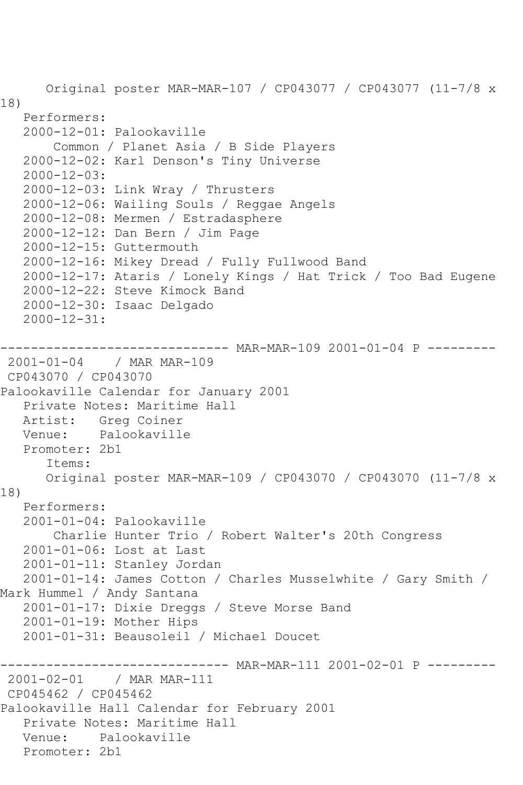Original poster MAR-MAR-107 / CP043077 / CP043077 (11-7/8 x 18) Performers: 2000-12-01: Palookaville Common / Planet Asia / B Side Players 2000-12-02: Karl Denson's Tiny Universe 2000-12-03: 2000-12-03: Link Wray / Thrusters 2000-12-06: Wailing Souls / Reggae Angels 2000-12-08: Mermen / Estradasphere 2000-12-12: Dan Bern / Jim Page 2000-12-15: Guttermouth 2000-12-16: Mikey Dread / Fully Fullwood Band 2000-12-17: Ataris / Lonely Kings / Hat Trick / Too Bad Eugene 2000-12-22: Steve Kimock Band 2000-12-30: Isaac Delgado 2000-12-31: --------- MAR-MAR-109 2001-01-04 P ---------2001-01-04 / MAR MAR-109 CP043070 / CP043070 Palookaville Calendar for January 2001 Private Notes: Maritime Hall Artist: Greg Coiner Venue: Palookaville Promoter: 2b1 Items: Original poster MAR-MAR-109 / CP043070 / CP043070 (11-7/8 x 18) Performers: 2001-01-04: Palookaville Charlie Hunter Trio / Robert Walter's 20th Congress 2001-01-06: Lost at Last 2001-01-11: Stanley Jordan 2001-01-14: James Cotton / Charles Musselwhite / Gary Smith / Mark Hummel / Andy Santana 2001-01-17: Dixie Dreggs / Steve Morse Band 2001-01-19: Mother Hips 2001-01-31: Beausoleil / Michael Doucet ------------------------------ MAR-MAR-111 2001-02-01 P --------- 2001-02-01 / MAR MAR-111 CP045462 / CP045462 Palookaville Hall Calendar for February 2001 Private Notes: Maritime Hall Venue: Palookaville Promoter: 2b1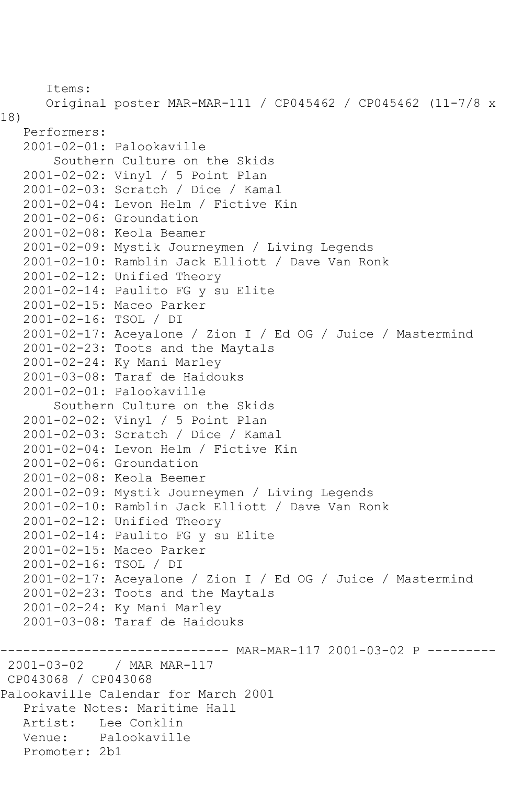```
 Items:
       Original poster MAR-MAR-111 / CP045462 / CP045462 (11-7/8 x 
18)
   Performers:
   2001-02-01: Palookaville
        Southern Culture on the Skids
   2001-02-02: Vinyl / 5 Point Plan
   2001-02-03: Scratch / Dice / Kamal
   2001-02-04: Levon Helm / Fictive Kin
   2001-02-06: Groundation
   2001-02-08: Keola Beamer
   2001-02-09: Mystik Journeymen / Living Legends
   2001-02-10: Ramblin Jack Elliott / Dave Van Ronk
   2001-02-12: Unified Theory
   2001-02-14: Paulito FG y su Elite
   2001-02-15: Maceo Parker
   2001-02-16: TSOL / DI
   2001-02-17: Aceyalone / Zion I / Ed OG / Juice / Mastermind
   2001-02-23: Toots and the Maytals
   2001-02-24: Ky Mani Marley
   2001-03-08: Taraf de Haidouks
   2001-02-01: Palookaville
        Southern Culture on the Skids
   2001-02-02: Vinyl / 5 Point Plan
   2001-02-03: Scratch / Dice / Kamal
   2001-02-04: Levon Helm / Fictive Kin
   2001-02-06: Groundation
   2001-02-08: Keola Beemer
   2001-02-09: Mystik Journeymen / Living Legends
   2001-02-10: Ramblin Jack Elliott / Dave Van Ronk
   2001-02-12: Unified Theory
   2001-02-14: Paulito FG y su Elite
   2001-02-15: Maceo Parker
   2001-02-16: TSOL / DI
   2001-02-17: Aceyalone / Zion I / Ed OG / Juice / Mastermind
   2001-02-23: Toots and the Maytals
   2001-02-24: Ky Mani Marley
   2001-03-08: Taraf de Haidouks
------------------------------ MAR-MAR-117 2001-03-02 P ---------
2001-03-02 / MAR MAR-117
CP043068 / CP043068
Palookaville Calendar for March 2001
   Private Notes: Maritime Hall
   Artist: Lee Conklin
   Venue: Palookaville
   Promoter: 2b1
```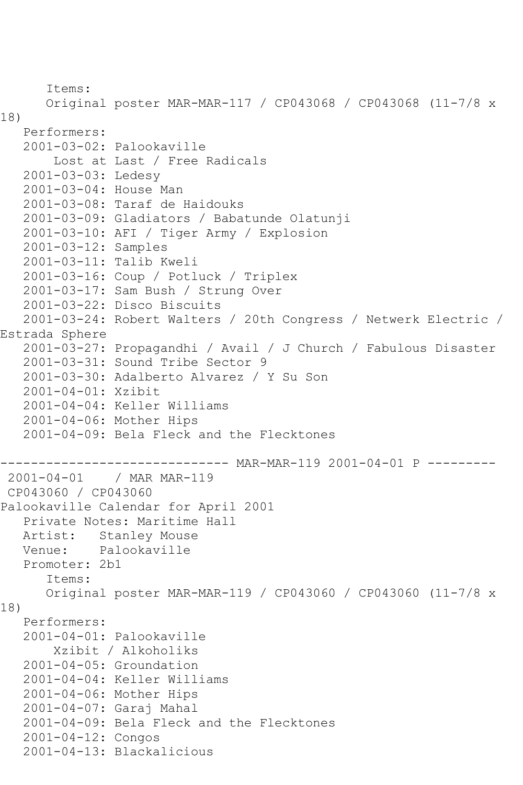Items: Original poster MAR-MAR-117 / CP043068 / CP043068 (11-7/8 x 18) Performers: 2001-03-02: Palookaville Lost at Last / Free Radicals 2001-03-03: Ledesy 2001-03-04: House Man 2001-03-08: Taraf de Haidouks 2001-03-09: Gladiators / Babatunde Olatunji 2001-03-10: AFI / Tiger Army / Explosion 2001-03-12: Samples 2001-03-11: Talib Kweli 2001-03-16: Coup / Potluck / Triplex 2001-03-17: Sam Bush / Strung Over 2001-03-22: Disco Biscuits 2001-03-24: Robert Walters / 20th Congress / Netwerk Electric / Estrada Sphere 2001-03-27: Propagandhi / Avail / J Church / Fabulous Disaster 2001-03-31: Sound Tribe Sector 9 2001-03-30: Adalberto Alvarez / Y Su Son 2001-04-01: Xzibit 2001-04-04: Keller Williams 2001-04-06: Mother Hips 2001-04-09: Bela Fleck and the Flecktones ------------------------------- MAR-MAR-119 2001-04-01 P --------<br>2001-04-01 / MAR MAR-119 / MAR MAR-119 CP043060 / CP043060 Palookaville Calendar for April 2001 Private Notes: Maritime Hall Artist: Stanley Mouse Venue: Palookaville Promoter: 2b1 Items: Original poster MAR-MAR-119 / CP043060 / CP043060 (11-7/8 x 18) Performers: 2001-04-01: Palookaville Xzibit / Alkoholiks 2001-04-05: Groundation 2001-04-04: Keller Williams 2001-04-06: Mother Hips 2001-04-07: Garaj Mahal 2001-04-09: Bela Fleck and the Flecktones 2001-04-12: Congos 2001-04-13: Blackalicious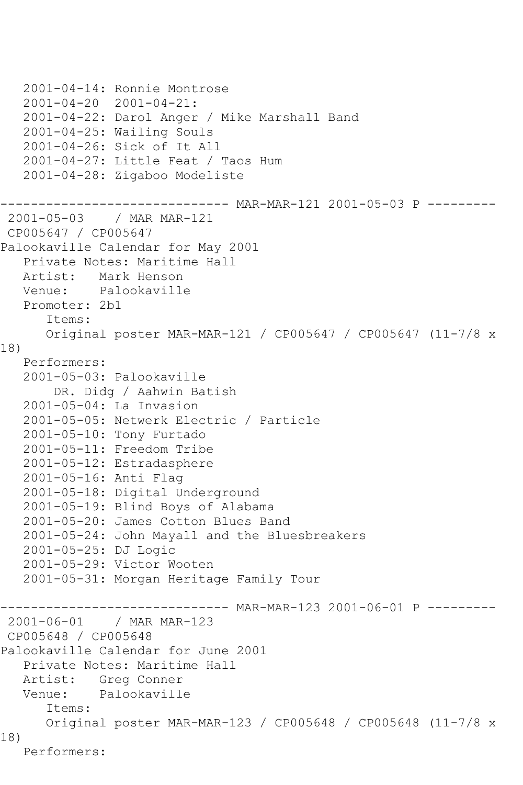```
 2001-04-14: Ronnie Montrose
   2001-04-20 2001-04-21:
   2001-04-22: Darol Anger / Mike Marshall Band
   2001-04-25: Wailing Souls
   2001-04-26: Sick of It All
   2001-04-27: Little Feat / Taos Hum
   2001-04-28: Zigaboo Modeliste
                  ------------ MAR-MAR-121 2001-05-03 P -------
2001-05-03 / MAR MAR-121
CP005647 / CP005647
Palookaville Calendar for May 2001
   Private Notes: Maritime Hall
   Artist: Mark Henson
   Venue: Palookaville
   Promoter: 2b1
       Items:
      Original poster MAR-MAR-121 / CP005647 / CP005647 (11-7/8 x 
18)
   Performers:
   2001-05-03: Palookaville
        DR. Didg / Aahwin Batish
   2001-05-04: La Invasion
   2001-05-05: Netwerk Electric / Particle
   2001-05-10: Tony Furtado
   2001-05-11: Freedom Tribe
   2001-05-12: Estradasphere
   2001-05-16: Anti Flag
   2001-05-18: Digital Underground
   2001-05-19: Blind Boys of Alabama
   2001-05-20: James Cotton Blues Band
   2001-05-24: John Mayall and the Bluesbreakers
   2001-05-25: DJ Logic
   2001-05-29: Victor Wooten
   2001-05-31: Morgan Heritage Family Tour
------------------------------ MAR-MAR-123 2001-06-01 P ---------
2001-06-01 / MAR MAR-123
CP005648 / CP005648
Palookaville Calendar for June 2001
   Private Notes: Maritime Hall
   Artist: Greg Conner
   Venue: Palookaville
       Items:
      Original poster MAR-MAR-123 / CP005648 / CP005648 (11-7/8 x 
18)
   Performers:
```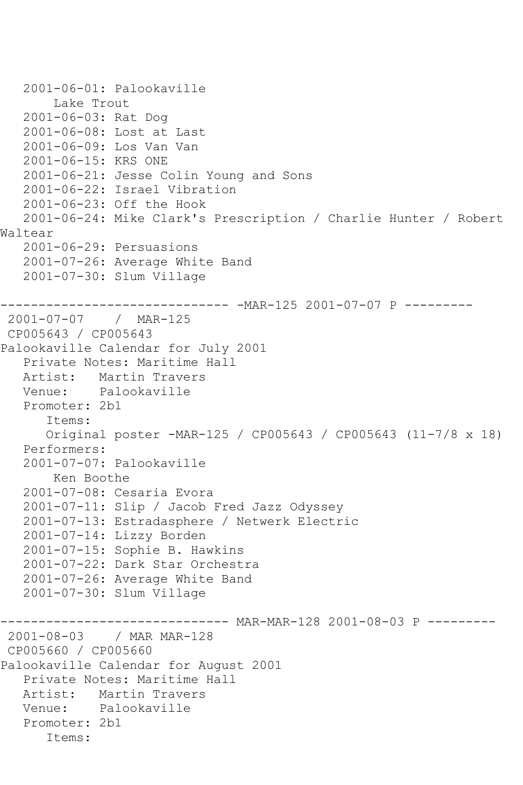```
 2001-06-01: Palookaville
        Lake Trout
   2001-06-03: Rat Dog
   2001-06-08: Lost at Last
   2001-06-09: Los Van Van
   2001-06-15: KRS ONE
   2001-06-21: Jesse Colin Young and Sons
   2001-06-22: Israel Vibration
   2001-06-23: Off the Hook
   2001-06-24: Mike Clark's Prescription / Charlie Hunter / Robert 
Waltear
   2001-06-29: Persuasions
   2001-07-26: Average White Band
   2001-07-30: Slum Village
      ------------------------------ -MAR-125 2001-07-07 P ---------
2001-07-07 / MAR-125
CP005643 / CP005643
Palookaville Calendar for July 2001
   Private Notes: Maritime Hall
   Artist: Martin Travers
   Venue: Palookaville
   Promoter: 2b1
       Items:
      Original poster -MAR-125 / CP005643 / CP005643 (11-7/8 x 18)
   Performers:
   2001-07-07: Palookaville
        Ken Boothe
   2001-07-08: Cesaria Evora
   2001-07-11: Slip / Jacob Fred Jazz Odyssey
   2001-07-13: Estradasphere / Netwerk Electric
   2001-07-14: Lizzy Borden
   2001-07-15: Sophie B. Hawkins
   2001-07-22: Dark Star Orchestra
   2001-07-26: Average White Band
   2001-07-30: Slum Village
                   ----------- MAR-MAR-128 2001-08-03 P ---------
2001-08-03 / MAR MAR-128
CP005660 / CP005660
Palookaville Calendar for August 2001
   Private Notes: Maritime Hall
   Artist: Martin Travers
   Venue: Palookaville
   Promoter: 2b1
       Items:
```